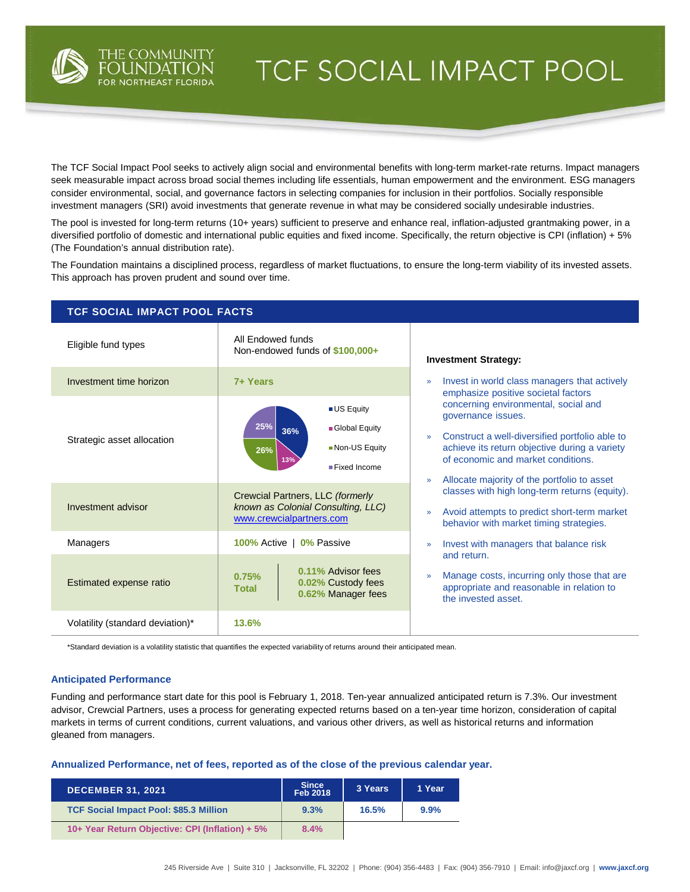

# TCF SOCIAL IMPACT POOL

The TCF Social Impact Pool seeks to actively align social and environmental benefits with long-term market-rate returns. Impact managers seek measurable impact across broad social themes including life essentials, human empowerment and the environment. ESG managers consider environmental, social, and governance factors in selecting companies for inclusion in their portfolios. Socially responsible investment managers (SRI) avoid investments that generate revenue in what may be considered socially undesirable industries.

The pool is invested for long-term returns (10+ years) sufficient to preserve and enhance real, inflation-adjusted grantmaking power, in a diversified portfolio of domestic and international public equities and fixed income. Specifically, the return objective is CPI (inflation) + 5% (The Foundation's annual distribution rate).

The Foundation maintains a disciplined process, regardless of market fluctuations, to ensure the long-term viability of its invested assets. This approach has proven prudent and sound over time.

| <b>TCF SOCIAL IMPACT POOL FACTS</b> |                                                                                                    |                                                                                                                                                                                                                                                                              |  |  |  |  |  |
|-------------------------------------|----------------------------------------------------------------------------------------------------|------------------------------------------------------------------------------------------------------------------------------------------------------------------------------------------------------------------------------------------------------------------------------|--|--|--|--|--|
| Eligible fund types                 | All Endowed funds<br>Non-endowed funds of \$100,000+                                               | <b>Investment Strategy:</b>                                                                                                                                                                                                                                                  |  |  |  |  |  |
| Investment time horizon             | 7+ Years                                                                                           | Invest in world class managers that actively<br>$\mathcal{D}$<br>emphasize positive societal factors                                                                                                                                                                         |  |  |  |  |  |
| Strategic asset allocation          | <b>US Equity</b><br>25%<br>Global Equity<br>36%<br>Non-US Equity<br>26%<br>13%<br>■ Fixed Income   | concerning environmental, social and<br>governance issues.<br>Construct a well-diversified portfolio able to<br>$\mathcal{D}$<br>achieve its return objective during a variety<br>of economic and market conditions.<br>Allocate majority of the portfolio to asset<br>$\gg$ |  |  |  |  |  |
| Investment advisor                  | Crewcial Partners, LLC (formerly<br>known as Colonial Consulting, LLC)<br>www.crewcialpartners.com | classes with high long-term returns (equity).<br>Avoid attempts to predict short-term market<br>$\mathcal{V}$<br>behavior with market timing strategies.                                                                                                                     |  |  |  |  |  |
| <b>Managers</b>                     | 100% Active   0% Passive                                                                           | Invest with managers that balance risk<br>$\mathcal{D}$<br>and return.                                                                                                                                                                                                       |  |  |  |  |  |
| Estimated expense ratio             | 0.11% Advisor fees<br>0.75%<br>0.02% Custody fees<br><b>Total</b><br>0.62% Manager fees            | Manage costs, incurring only those that are<br>$\mathcal{D}$<br>appropriate and reasonable in relation to<br>the invested asset.                                                                                                                                             |  |  |  |  |  |
| Volatility (standard deviation)*    | 13.6%                                                                                              |                                                                                                                                                                                                                                                                              |  |  |  |  |  |

\*Standard deviation is a volatility statistic that quantifies the expected variability of returns around their anticipated mean.

### **Anticipated Performance**

Funding and performance start date for this pool is February 1, 2018. Ten-year annualized anticipated return is 7.3%. Our investment advisor, Crewcial Partners, uses a process for generating expected returns based on a ten-year time horizon, consideration of capital markets in terms of current conditions, current valuations, and various other drivers, as well as historical returns and information gleaned from managers.

#### **Annualized Performance, net of fees, reported as of the close of the previous calendar year.**

| <b>DECEMBER 31, 2021</b>                        | Since<br>Feb 2018 | 3 Years | 1 Year |
|-------------------------------------------------|-------------------|---------|--------|
| <b>TCF Social Impact Pool: \$85.3 Million</b>   | 9.3%              | 16.5%   | 9.9%   |
| 10+ Year Return Objective: CPI (Inflation) + 5% | 8.4%              |         |        |